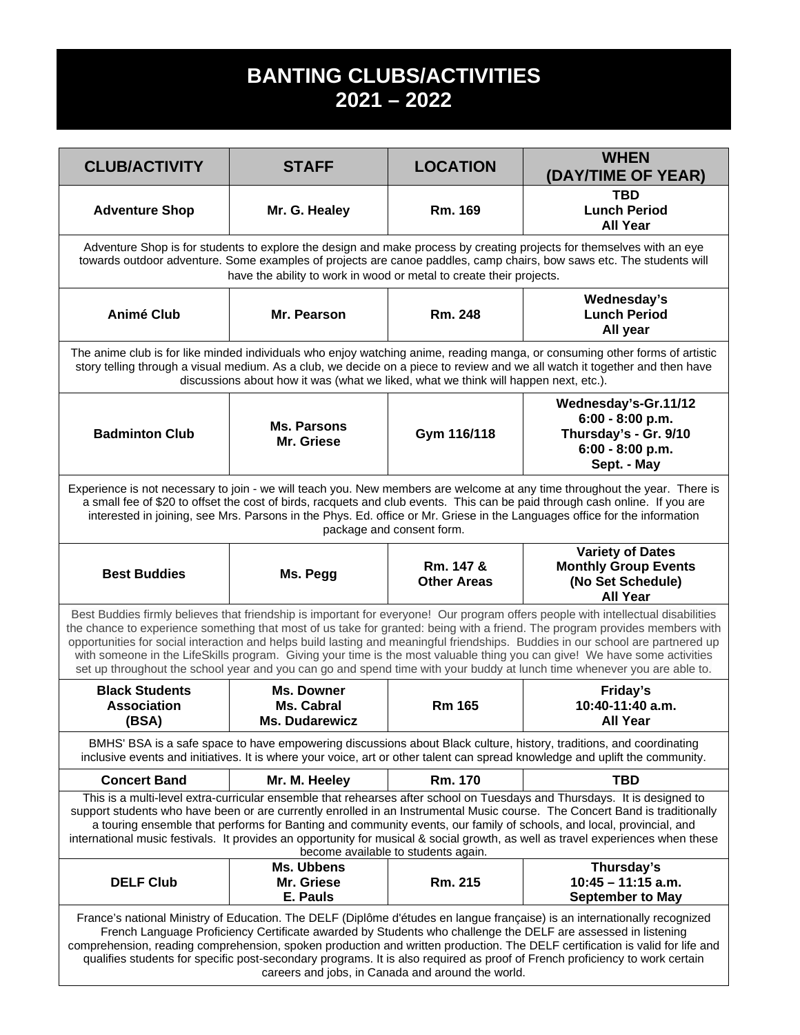## **BANTING CLUBS/ACTIVITIES 2021 – 2022**

| <b>CLUB/ACTIVITY</b>                                                                                                                                                                                                                                                                                                                                                                                                                                                                                                                                                                                                                                       | <b>STAFF</b>                                             | <b>LOCATION</b>                 | <b>WHEN</b><br>(DAY/TIME OF YEAR)                                                                      |  |  |  |
|------------------------------------------------------------------------------------------------------------------------------------------------------------------------------------------------------------------------------------------------------------------------------------------------------------------------------------------------------------------------------------------------------------------------------------------------------------------------------------------------------------------------------------------------------------------------------------------------------------------------------------------------------------|----------------------------------------------------------|---------------------------------|--------------------------------------------------------------------------------------------------------|--|--|--|
| <b>Adventure Shop</b>                                                                                                                                                                                                                                                                                                                                                                                                                                                                                                                                                                                                                                      | Mr. G. Healey                                            | Rm. 169                         | <b>TBD</b><br><b>Lunch Period</b><br><b>All Year</b>                                                   |  |  |  |
| Adventure Shop is for students to explore the design and make process by creating projects for themselves with an eye<br>towards outdoor adventure. Some examples of projects are canoe paddles, camp chairs, bow saws etc. The students will<br>have the ability to work in wood or metal to create their projects.                                                                                                                                                                                                                                                                                                                                       |                                                          |                                 |                                                                                                        |  |  |  |
| <b>Animé Club</b>                                                                                                                                                                                                                                                                                                                                                                                                                                                                                                                                                                                                                                          | Mr. Pearson                                              | Rm. 248                         | Wednesday's<br><b>Lunch Period</b><br>All year                                                         |  |  |  |
| The anime club is for like minded individuals who enjoy watching anime, reading manga, or consuming other forms of artistic<br>story telling through a visual medium. As a club, we decide on a piece to review and we all watch it together and then have<br>discussions about how it was (what we liked, what we think will happen next, etc.).                                                                                                                                                                                                                                                                                                          |                                                          |                                 |                                                                                                        |  |  |  |
| <b>Badminton Club</b>                                                                                                                                                                                                                                                                                                                                                                                                                                                                                                                                                                                                                                      | <b>Ms. Parsons</b><br>Mr. Griese                         | Gym 116/118                     | Wednesday's-Gr.11/12<br>$6:00 - 8:00 p.m.$<br>Thursday's - Gr. 9/10<br>6:00 - 8:00 p.m.<br>Sept. - May |  |  |  |
| Experience is not necessary to join - we will teach you. New members are welcome at any time throughout the year. There is<br>a small fee of \$20 to offset the cost of birds, racquets and club events. This can be paid through cash online. If you are<br>interested in joining, see Mrs. Parsons in the Phys. Ed. office or Mr. Griese in the Languages office for the information<br>package and consent form.                                                                                                                                                                                                                                        |                                                          |                                 |                                                                                                        |  |  |  |
| <b>Best Buddies</b>                                                                                                                                                                                                                                                                                                                                                                                                                                                                                                                                                                                                                                        | Ms. Pegg                                                 | Rm. 147 &<br><b>Other Areas</b> | <b>Variety of Dates</b><br><b>Monthly Group Events</b><br>(No Set Schedule)<br><b>All Year</b>         |  |  |  |
| Best Buddies firmly believes that friendship is important for everyone! Our program offers people with intellectual disabilities<br>the chance to experience something that most of us take for granted: being with a friend. The program provides members with<br>opportunities for social interaction and helps build lasting and meaningful friendships. Buddies in our school are partnered up<br>with someone in the LifeSkills program. Giving your time is the most valuable thing you can give! We have some activities<br>set up throughout the school year and you can go and spend time with your buddy at lunch time whenever you are able to. |                                                          |                                 |                                                                                                        |  |  |  |
| <b>Black Students</b><br><b>Association</b><br>(BSA)                                                                                                                                                                                                                                                                                                                                                                                                                                                                                                                                                                                                       | Ms. Downer<br><b>Ms. Cabral</b><br><b>Ms. Dudarewicz</b> | <b>Rm 165</b>                   | Friday's<br>10:40-11:40 a.m.<br><b>All Year</b>                                                        |  |  |  |
| BMHS' BSA is a safe space to have empowering discussions about Black culture, history, traditions, and coordinating<br>inclusive events and initiatives. It is where your voice, art or other talent can spread knowledge and uplift the community.                                                                                                                                                                                                                                                                                                                                                                                                        |                                                          |                                 |                                                                                                        |  |  |  |
| <b>Concert Band</b>                                                                                                                                                                                                                                                                                                                                                                                                                                                                                                                                                                                                                                        | Mr. M. Heeley                                            | Rm. 170                         | <b>TBD</b>                                                                                             |  |  |  |
| This is a multi-level extra-curricular ensemble that rehearses after school on Tuesdays and Thursdays. It is designed to<br>support students who have been or are currently enrolled in an Instrumental Music course. The Concert Band is traditionally<br>a touring ensemble that performs for Banting and community events, our family of schools, and local, provincial, and<br>international music festivals. It provides an opportunity for musical & social growth, as well as travel experiences when these<br>become available to students again.                                                                                                  |                                                          |                                 |                                                                                                        |  |  |  |
| <b>DELF Club</b>                                                                                                                                                                                                                                                                                                                                                                                                                                                                                                                                                                                                                                           | Ms. Ubbens<br>Mr. Griese<br>E. Pauls                     | Rm. 215                         | Thursday's<br>$10:45 - 11:15$ a.m.<br><b>September to May</b>                                          |  |  |  |
| France's national Ministry of Education. The DELF (Diplôme d'études en langue française) is an internationally recognized<br>French Language Proficiency Certificate awarded by Students who challenge the DELF are assessed in listening<br>comprehension, reading comprehension, spoken production and written production. The DELF certification is valid for life and<br>qualifies students for specific post-secondary programs. It is also required as proof of French proficiency to work certain<br>careers and jobs, in Canada and around the world.                                                                                              |                                                          |                                 |                                                                                                        |  |  |  |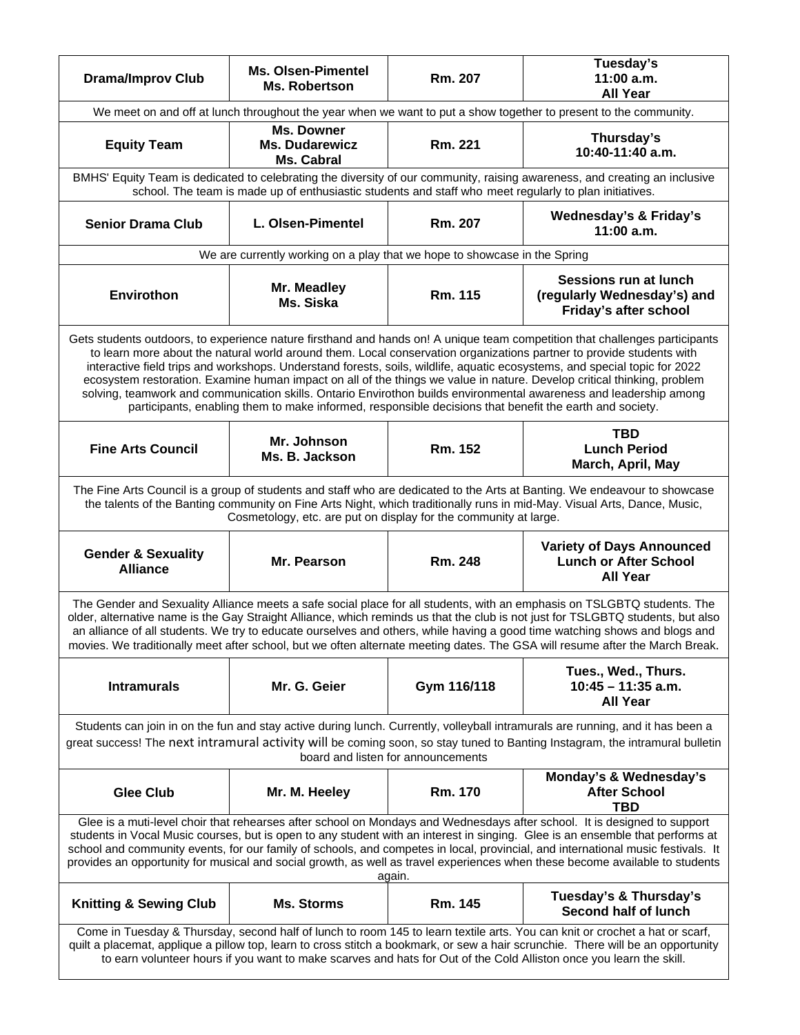| <b>Drama/Improv Club</b>                                                                                                                                                                                                                                                                                                                                                                                                                                                                                                                                                                                                                                                                                                                      | <b>Ms. Olsen-Pimentel</b><br>Ms. Robertson                                | Rm. 207     | Tuesday's<br>11:00 a.m.<br><b>All Year</b>                                          |  |  |  |  |
|-----------------------------------------------------------------------------------------------------------------------------------------------------------------------------------------------------------------------------------------------------------------------------------------------------------------------------------------------------------------------------------------------------------------------------------------------------------------------------------------------------------------------------------------------------------------------------------------------------------------------------------------------------------------------------------------------------------------------------------------------|---------------------------------------------------------------------------|-------------|-------------------------------------------------------------------------------------|--|--|--|--|
| We meet on and off at lunch throughout the year when we want to put a show together to present to the community.                                                                                                                                                                                                                                                                                                                                                                                                                                                                                                                                                                                                                              |                                                                           |             |                                                                                     |  |  |  |  |
| <b>Equity Team</b>                                                                                                                                                                                                                                                                                                                                                                                                                                                                                                                                                                                                                                                                                                                            | <b>Ms. Downer</b><br><b>Ms. Dudarewicz</b><br>Ms. Cabral                  | Rm. 221     | Thursday's<br>10:40-11:40 a.m.                                                      |  |  |  |  |
| BMHS' Equity Team is dedicated to celebrating the diversity of our community, raising awareness, and creating an inclusive<br>school. The team is made up of enthusiastic students and staff who meet regularly to plan initiatives.                                                                                                                                                                                                                                                                                                                                                                                                                                                                                                          |                                                                           |             |                                                                                     |  |  |  |  |
| <b>Senior Drama Club</b>                                                                                                                                                                                                                                                                                                                                                                                                                                                                                                                                                                                                                                                                                                                      | L. Olsen-Pimentel                                                         | Rm. 207     | <b>Wednesday's &amp; Friday's</b><br>11:00 a.m.                                     |  |  |  |  |
|                                                                                                                                                                                                                                                                                                                                                                                                                                                                                                                                                                                                                                                                                                                                               | We are currently working on a play that we hope to showcase in the Spring |             |                                                                                     |  |  |  |  |
| Envirothon                                                                                                                                                                                                                                                                                                                                                                                                                                                                                                                                                                                                                                                                                                                                    | Mr. Meadley<br>Ms. Siska                                                  | Rm. 115     | Sessions run at lunch<br>(regularly Wednesday's) and<br>Friday's after school       |  |  |  |  |
| Gets students outdoors, to experience nature firsthand and hands on! A unique team competition that challenges participants<br>to learn more about the natural world around them. Local conservation organizations partner to provide students with<br>interactive field trips and workshops. Understand forests, soils, wildlife, aquatic ecosystems, and special topic for 2022<br>ecosystem restoration. Examine human impact on all of the things we value in nature. Develop critical thinking, problem<br>solving, teamwork and communication skills. Ontario Envirothon builds environmental awareness and leadership among<br>participants, enabling them to make informed, responsible decisions that benefit the earth and society. |                                                                           |             |                                                                                     |  |  |  |  |
| <b>Fine Arts Council</b>                                                                                                                                                                                                                                                                                                                                                                                                                                                                                                                                                                                                                                                                                                                      | Mr. Johnson<br>Ms. B. Jackson                                             | Rm. 152     | <b>TBD</b><br><b>Lunch Period</b><br>March, April, May                              |  |  |  |  |
| The Fine Arts Council is a group of students and staff who are dedicated to the Arts at Banting. We endeavour to showcase<br>the talents of the Banting community on Fine Arts Night, which traditionally runs in mid-May. Visual Arts, Dance, Music,<br>Cosmetology, etc. are put on display for the community at large.                                                                                                                                                                                                                                                                                                                                                                                                                     |                                                                           |             |                                                                                     |  |  |  |  |
| <b>Gender &amp; Sexuality</b><br><b>Alliance</b>                                                                                                                                                                                                                                                                                                                                                                                                                                                                                                                                                                                                                                                                                              | Mr. Pearson                                                               | Rm. 248     | <b>Variety of Days Announced</b><br><b>Lunch or After School</b><br><b>All Year</b> |  |  |  |  |
| The Gender and Sexuality Alliance meets a safe social place for all students, with an emphasis on TSLGBTQ students. The<br>older, alternative name is the Gay Straight Alliance, which reminds us that the club is not just for TSLGBTQ students, but also<br>an alliance of all students. We try to educate ourselves and others, while having a good time watching shows and blogs and<br>movies. We traditionally meet after school, but we often alternate meeting dates. The GSA will resume after the March Break.                                                                                                                                                                                                                      |                                                                           |             |                                                                                     |  |  |  |  |
| <b>Intramurals</b>                                                                                                                                                                                                                                                                                                                                                                                                                                                                                                                                                                                                                                                                                                                            | Mr. G. Geier                                                              | Gym 116/118 | Tues., Wed., Thurs.<br>$10:45 - 11:35$ a.m.<br><b>All Year</b>                      |  |  |  |  |
| Students can join in on the fun and stay active during lunch. Currently, volleyball intramurals are running, and it has been a<br>great success! The next intramural activity will be coming soon, so stay tuned to Banting Instagram, the intramural bulletin<br>board and listen for announcements                                                                                                                                                                                                                                                                                                                                                                                                                                          |                                                                           |             |                                                                                     |  |  |  |  |
| <b>Glee Club</b>                                                                                                                                                                                                                                                                                                                                                                                                                                                                                                                                                                                                                                                                                                                              | Mr. M. Heeley                                                             | Rm. 170     | Monday's & Wednesday's<br><b>After School</b><br><b>TBD</b>                         |  |  |  |  |
| Glee is a muti-level choir that rehearses after school on Mondays and Wednesdays after school. It is designed to support<br>students in Vocal Music courses, but is open to any student with an interest in singing. Glee is an ensemble that performs at<br>school and community events, for our family of schools, and competes in local, provincial, and international music festivals. It<br>provides an opportunity for musical and social growth, as well as travel experiences when these become available to students<br>again.                                                                                                                                                                                                       |                                                                           |             |                                                                                     |  |  |  |  |
| <b>Knitting &amp; Sewing Club</b>                                                                                                                                                                                                                                                                                                                                                                                                                                                                                                                                                                                                                                                                                                             | <b>Ms. Storms</b>                                                         | Rm. 145     | Tuesday's & Thursday's<br>Second half of lunch                                      |  |  |  |  |
| Come in Tuesday & Thursday, second half of lunch to room 145 to learn textile arts. You can knit or crochet a hat or scarf,<br>quilt a placemat, applique a pillow top, learn to cross stitch a bookmark, or sew a hair scrunchie. There will be an opportunity<br>to earn volunteer hours if you want to make scarves and hats for Out of the Cold Alliston once you learn the skill.                                                                                                                                                                                                                                                                                                                                                        |                                                                           |             |                                                                                     |  |  |  |  |